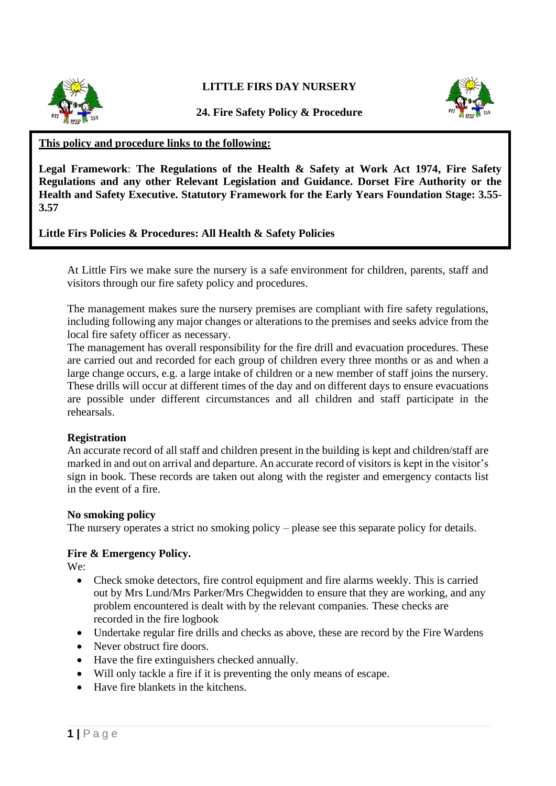

**LITTLE FIRS DAY NURSERY**



**24. Fire Safety Policy & Procedure**

#### **This policy and procedure links to the following:**

**Legal Framework**: **The Regulations of the Health & Safety at Work Act 1974, Fire Safety Regulations and any other Relevant Legislation and Guidance. Dorset Fire Authority or the Health and Safety Executive. Statutory Framework for the Early Years Foundation Stage: 3.55- 3.57**

### **Little Firs Policies & Procedures: All Health & Safety Policies**

At Little Firs we make sure the nursery is a safe environment for children, parents, staff and visitors through our fire safety policy and procedures.

The management makes sure the nursery premises are compliant with fire safety regulations, including following any major changes or alterations to the premises and seeks advice from the local fire safety officer as necessary.

The management has overall responsibility for the fire drill and evacuation procedures. These are carried out and recorded for each group of children every three months or as and when a large change occurs, e.g. a large intake of children or a new member of staff joins the nursery. These drills will occur at different times of the day and on different days to ensure evacuations are possible under different circumstances and all children and staff participate in the rehearsals.

#### **Registration**

An accurate record of all staff and children present in the building is kept and children/staff are marked in and out on arrival and departure. An accurate record of visitors is kept in the visitor's sign in book. These records are taken out along with the register and emergency contacts list in the event of a fire.

#### **No smoking policy**

The nursery operates a strict no smoking policy – please see this separate policy for details.

#### **Fire & Emergency Policy.**

We:

- Check smoke detectors, fire control equipment and fire alarms weekly. This is carried out by Mrs Lund/Mrs Parker/Mrs Chegwidden to ensure that they are working, and any problem encountered is dealt with by the relevant companies. These checks are recorded in the fire logbook
- Undertake regular fire drills and checks as above, these are record by the Fire Wardens
- Never obstruct fire doors.
- Have the fire extinguishers checked annually.
- Will only tackle a fire if it is preventing the only means of escape.
- Have fire blankets in the kitchens.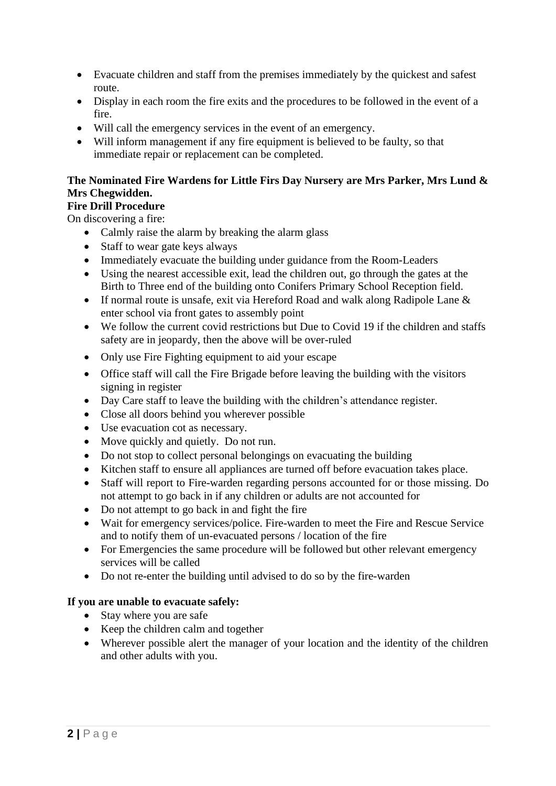- Evacuate children and staff from the premises immediately by the quickest and safest route.
- Display in each room the fire exits and the procedures to be followed in the event of a fire.
- Will call the emergency services in the event of an emergency.
- Will inform management if any fire equipment is believed to be faulty, so that immediate repair or replacement can be completed.

# **The Nominated Fire Wardens for Little Firs Day Nursery are Mrs Parker, Mrs Lund & Mrs Chegwidden.**

## **Fire Drill Procedure**

On discovering a fire:

- Calmly raise the alarm by breaking the alarm glass
- Staff to wear gate keys always
- Immediately evacuate the building under guidance from the Room-Leaders
- Using the nearest accessible exit, lead the children out, go through the gates at the Birth to Three end of the building onto Conifers Primary School Reception field.
- If normal route is unsafe, exit via Hereford Road and walk along Radipole Lane & enter school via front gates to assembly point
- We follow the current covid restrictions but Due to Covid 19 if the children and staffs safety are in jeopardy, then the above will be over-ruled
- Only use Fire Fighting equipment to aid your escape
- Office staff will call the Fire Brigade before leaving the building with the visitors signing in register
- Day Care staff to leave the building with the children's attendance register.
- Close all doors behind you wherever possible
- Use evacuation cot as necessary.
- Move quickly and quietly. Do not run.
- Do not stop to collect personal belongings on evacuating the building
- Kitchen staff to ensure all appliances are turned off before evacuation takes place.
- Staff will report to Fire-warden regarding persons accounted for or those missing. Do not attempt to go back in if any children or adults are not accounted for
- Do not attempt to go back in and fight the fire
- Wait for emergency services/police. Fire-warden to meet the Fire and Rescue Service and to notify them of un-evacuated persons / location of the fire
- For Emergencies the same procedure will be followed but other relevant emergency services will be called
- Do not re-enter the building until advised to do so by the fire-warden

## **If you are unable to evacuate safely:**

- Stay where you are safe
- Keep the children calm and together
- Wherever possible alert the manager of your location and the identity of the children and other adults with you.